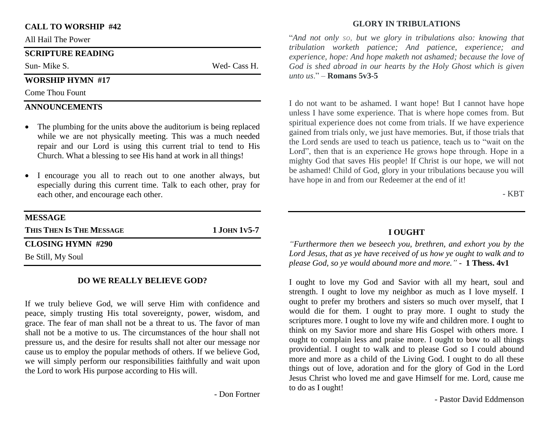### **CALL TO WORSHIP #42**

All Hail The Power

#### **SCRIPTURE READING**

Sun- Mike S. Wed- Cass H.

### **WORSHIP HYMN #17**

Come Thou Fount

### **ANNOUNCEMENTS**

- The plumbing for the units above the auditorium is being replaced while we are not physically meeting. This was a much needed repair and our Lord is using this current trial to tend to His Church. What a blessing to see His hand at work in all things!
- I encourage you all to reach out to one another always, but especially during this current time. Talk to each other, pray for each other, and encourage each other.

| $1$ JOHN 1v5-7 |
|----------------|
|                |
|                |
|                |

#### **DO WE REALLY BELIEVE GOD?**

If we truly believe God, we will serve Him with confidence and peace, simply trusting His total sovereignty, power, wisdom, and grace. The fear of man shall not be a threat to us. The favor of man shall not be a motive to us. The circumstances of the hour shall not pressure us, and the desire for results shall not alter our message nor cause us to employ the popular methods of others. If we believe God, we will simply perform our responsibilities faithfully and wait upon the Lord to work His purpose according to His will.

- Don Fortner

### **GLORY IN TRIBULATIONS**

"*And not only so, but we glory in tribulations also: knowing that tribulation worketh patience; And patience, experience; and experience, hope: And hope maketh not ashamed; because the love of God is shed abroad in our hearts by the Holy Ghost which is given unto us*." – **Romans 5v3-5**

I do not want to be ashamed. I want hope! But I cannot have hope unless I have some experience. That is where hope comes from. But spiritual experience does not come from trials. If we have experience gained from trials only, we just have memories. But, if those trials that the Lord sends are used to teach us patience, teach us to "wait on the Lord", then that is an experience He grows hope through. Hope in a mighty God that saves His people! If Christ is our hope, we will not be ashamed! Child of God, glory in your tribulations because you will have hope in and from our Redeemer at the end of it!

- KBT

## **I OUGHT**

*"Furthermore then we beseech you, brethren, and exhort you by the Lord Jesus, that as ye have received of us how ye ought to walk and to please God, so ye would abound more and more." -* **1 Thess. 4v1**

I ought to love my God and Savior with all my heart, soul and strength. I ought to love my neighbor as much as I love myself. I ought to prefer my brothers and sisters so much over myself, that I would die for them. I ought to pray more. I ought to study the scriptures more. I ought to love my wife and children more. I ought to think on my Savior more and share His Gospel with others more. I ought to complain less and praise more. I ought to bow to all things providential. I ought to walk and to please God so I could abound more and more as a child of the Living God. I ought to do all these things out of love, adoration and for the glory of God in the Lord Jesus Christ who loved me and gave Himself for me. Lord, cause me to do as I ought!